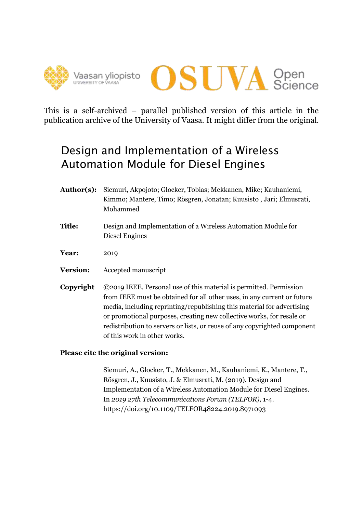



This is a self-archived – parallel published version of this article in the publication archive of the University of Vaasa. It might differ from the original.

# Design and Implementation of a Wireless Automation Module for Diesel Engines

- **Author(s):** Siemuri, Akpojoto; Glocker, Tobias; Mekkanen, Mike; Kauhaniemi, Kimmo; Mantere, Timo; Rösgren, Jonatan; Kuusisto , Jari; Elmusrati, Mohammed
- **Title:** Design and Implementation of a Wireless Automation Module for Diesel Engines
- **Year:** 2019
- **Version:** Accepted manuscript
- **Copyright** ©2019 IEEE. Personal use of this material is permitted. Permission from IEEE must be obtained for all other uses, in any current or future media, including reprinting/republishing this material for advertising or promotional purposes, creating new collective works, for resale or redistribution to servers or lists, or reuse of any copyrighted component of this work in other works.

# **Please cite the original version:**

Siemuri, A., Glocker, T., Mekkanen, M., Kauhaniemi, K., Mantere, T., Rösgren, J., Kuusisto, J. & Elmusrati, M. (2019). Design and Implementation of a Wireless Automation Module for Diesel Engines. In *2019 27th Telecommunications Forum (TELFOR),* 1-4. https://doi.org/10.1109/TELFOR48224.2019.8971093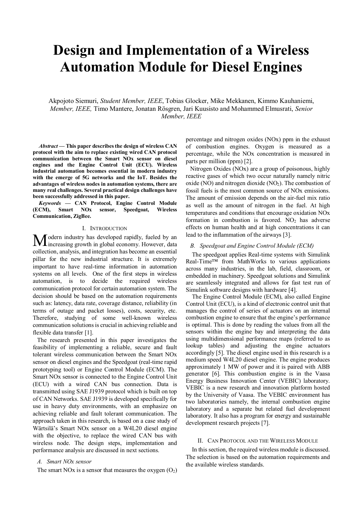# **Design and Implementation of a Wireless Automation Module for Diesel Engines**

Akpojoto Siemuri, *Student Member, IEEE*, Tobias Glocker, Mike Mekkanen, Kimmo Kauhaniemi, *Member, IEEE,* Timo Mantere, Jonatan Rösgren, Jari Kuusisto and Mohammed Elmusrati, *Senior Member, IEEE*

*Abstract* **— This paper describes the design of wireless CAN protocol with the aim to replace existing wired CAN protocol communication between the Smart NOx sensor on diesel engines and the Engine Control Unit (ECU). Wireless industrial automation becomes essential in modern industry with the emerge of 5G networks and the IoT. Besides the advantages of wireless nodes in automation systems, there are many real challenges. Several practical design challenges have been successfully addressed in this paper.**

*Keywords* **— CAN Protocol, Engine Control Module (ECM), Smart NOx sensor, Speedgoat, Wireless Communication, ZigBee.**

#### I. INTRODUCTION

odern industry has developed rapidly, fueled by an **M** odern industry has developed rapidly, fueled by an increasing growth in global economy. However, data collection, analysis, and integration has become an essential pillar for the new industrial structure. It is extremely important to have real-time information in automation systems on all levels. One of the first steps in wireless automation, is to decide the required wireless communication protocol for certain automation system. The decision should be based on the automation requirements such as: latency, data rate, coverage distance, reliability (in terms of outage and packet losses), costs, security, etc. Therefore, studying of some well-known wireless communication solutions is crucial in achieving reliable and flexible data transfer [1].

The research presented in this paper investigates the feasibility of implementing a reliable, secure and fault tolerant wireless communication between the Smart NOx sensor on diesel engines and the Speedgoat (real-time rapid prototyping tool) or Engine Control Module (ECM). The Smart NOx sensor is connected to the Engine Control Unit (ECU) with a wired CAN bus connection. Data is transmitted using SAE J1939 protocol which is built on top of CAN Networks. SAE J1939 is developed specifically for use in heavy duty environments, with an emphasize on achieving reliable and fault tolerant communication. The approach taken in this research, is based on a case study of Wärtsilä's Smart NOx sensor on a W4L20 diesel engine with the objective, to replace the wired CAN bus with wireless node. The design steps, implementation and performance analysis are discussed in next sections.

#### *A. Smart NOx sensor*

The smart NOx is a sensor that measures the oxygen  $(O_2)$ 

percentage and nitrogen oxides (NOx) ppm in the exhaust of combustion engines. Oxygen is measured as a percentage, while the NOx concentration is measured in parts per million (ppm) [2].

Nitrogen Oxides (NOx) are a group of poisonous, highly reactive gases of which two occur naturally namely nitric oxide (NO) and nitrogen dioxide (NO<sub>2</sub>). The combustion of fossil fuels is the most common source of NOx emissions. The amount of emission depends on the air-fuel mix ratio as well as the amount of nitrogen in the fuel. At high temperatures and conditions that encourage oxidation NOx formation in combustion is favored.  $NO<sub>2</sub>$  has adverse effects on human health and at high concentrations it can lead to the inflammation of the airways [3].

#### *B. Speedgoat and Engine Control Module (ECM)*

The speedgoat applies Real-time systems with Simulink Real-Time™ from MathWorks to various applications across many industries, in the lab, field, classroom, or embedded in machinery. Speedgoat solutions and Simulink are seamlessly integrated and allows for fast test run of Simulink software designs with hardware [4].

The Engine Control Module (ECM), also called Engine Control Unit (ECU), is a kind of electronic control unit that manages the control of series of actuators on an internal combustion engine to ensure that the engine's performance is optimal. This is done by reading the values from all the sensors within the engine bay and interpreting the data using multidimensional performance maps (referred to as lookup tables) and adjusting the engine actuators accordingly [5]. The diesel engine used in this research is a medium speed W4L20 diesel engine. The engine produces approximately 1 MW of power and it is paired with ABB generator [6]. This combustion engine is in the Vaasa Energy Business Innovation Center (VEBIC) laboratory. VEBIC is a new research and innovation platform hosted by the University of Vaasa. The VEBIC environment has two laboratories namely, the internal combustion engine laboratory and a separate but related fuel development laboratory. It also has a program for energy and sustainable development research projects [7].

#### II. CAN PROTOCOL AND THE WIRELESS MODULE

In this section, the required wireless module is discussed. The selection is based on the automation requirements and the available wireless standards.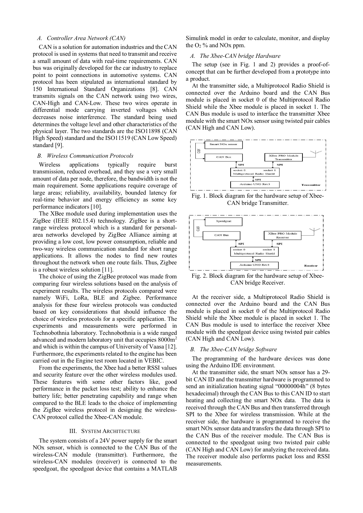## *A. Controller Area Network (CAN)*

CAN is a solution for automation industries and the CAN protocol is used in systems that need to transmit and receive a small amount of data with real-time requirements. CAN bus was originally developed for the car industry to replace point to point connections in automotive systems. CAN protocol has been stipulated as international standard by 150 International Standard Organizations [8]. CAN transmits signals on the CAN network using two wires, CAN-High and CAN-Low. These two wires operate in differential mode carrying inverted voltages which decreases noise interference. The standard being used determines the voltage level and other characteristics of the physical layer. The two standards are the ISO11898 (CAN High Speed) standard and the ISO11519 (CAN Low Speed) standard [9].

### *B. Wireless Communication Protocols*

Wireless applications typically require burst transmission, reduced overhead, and they use a very small amount of data per node, therefore, the bandwidth is not the main requirement. Some applications require coverage of large areas; reliability, availability, bounded latency for real-time behavior and energy efficiency as some key performance indicators [10].

The XBee module used during implementation uses the ZigBee (IEEE 802.15.4) technology. ZigBee is a shortrange wireless protocol which is a standard for personalarea networks developed by ZigBee Alliance aiming at providing a low cost, low power consumption, reliable and two-way wireless communication standard for short range applications. It allows the nodes to find new routes throughout the network when one route fails. Thus, Zigbee is a robust wireless solution [11].

The choice of using the ZigBee protocol was made from comparing four wireless solutions based on the analysis of experiment results. The wireless protocols compared were namely WiFi, LoRa, BLE and Zigbee. Performance analysis for these four wireless protocols was conducted based on key considerations that should influence the choice of wireless protocols for a specific application. The experiments and measurements were performed in Technobothnia laboratory. Technobothnia is a wide ranged advanced and modern laboratory unit that occupies 8000m<sup>2</sup> and which is within the campus of University of Vaasa [12]. Furthermore, the experiments related to the engine has been carried out in the Engine test room located in VEBIC.

From the experiments, the Xbee had a better RSSI values and security feature over the other wireless modules used. These features with some other factors like, good performance in the packet loss test; ability to enhance the battery life; better penetrating capability and range when compared to the BLE leads to the choice of implementing the ZigBee wireless protocol in designing the wireless-CAN protocol called the Xbee-CAN module.

#### III. SYSTEM ARCHITECTURE

The system consists of a 24V power supply for the smart NOx sensor, which is connected to the CAN Bus of the wireless-CAN module (transmitter). Furthermore, the wireless-CAN modules (receiver) is connected to the speedgoat, the speedgoat device that contains a MATLAB Simulink model in order to calculate, monitor, and display the  $O<sub>2</sub>$ % and NO<sub>x</sub> ppm.

# *A. The Xbee-CAN bridge Hardware*

The setup (see in Fig. 1 and 2) provides a proof-ofconcept that can be further developed from a prototype into a product.

At the transmitter side, a Multiprotocol Radio Shield is connected over the Arduino board and the CAN Bus module is placed in socket 0 of the Multiprotocol Radio Shield while the Xbee module is placed in socket 1. The CAN Bus module is used to interface the transmitter Xbee module with the smart NOx sensor using twisted pair cables (CAN High and CAN Low).



Fig. 1. Block diagram for the hardware setup of Xbee-CAN bridge Transmitter.



Fig. 2. Block diagram for the hardware setup of Xbee-CAN bridge Receiver.

At the receiver side, a Multiprotocol Radio Shield is connected over the Arduino board and the CAN Bus module is placed in socket 0 of the Multiprotocol Radio Shield while the Xbee module is placed in socket 1. The CAN Bus module is used to interface the receiver Xbee module with the speedgoat device using twisted pair cables (CAN High and CAN Low).

# *B. The Xbee-CAN bridge Software*

The programming of the hardware devices was done using the Arduino IDE environment.

At the transmitter side, the smart NOx sensor has a 29 bit CAN ID and the transmitter hardware is programmed to send an initialization heating signal "00000004h" (8 bytes hexadecimal) through the CAN Bus to this CAN ID to start heating and collecting the smart NOx data. The data is received through the CAN Bus and then transferred through SPI to the Xbee for wireless transmission. While at the receiver side, the hardware is programmed to receive the smart NOx sensor data and transfers the data through SPI to the CAN Bus of the receiver module. The CAN Bus is connected to the speedgoat using two twisted pair cable (CAN High and CAN Low) for analyzing the received data. The receiver module also performs packet loss and RSSI measurements.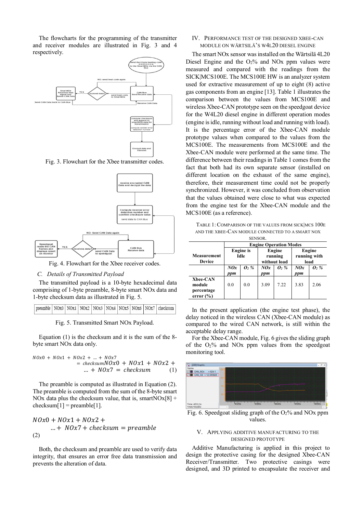The flowcharts for the programming of the transmitter and receiver modules are illustrated in Fig. 3 and 4 respectively.



Fig. 3. Flowchart for the Xbee transmitter codes.



Fig. 4. Flowchart for the Xbee receiver codes.

#### *C. Details of Transmitted Payload*

The transmitted payload is a 10-byte hexadecimal data comprising of 1-byte preamble, 8-byte smart NOx data and 1-byte checksum data as illustrated in Fig. 5.

| $\vert$ preamble $\vert$ NOx0 $\vert$ NOx1 $\vert$ NOx2 $\vert$ NOx3 $\vert$ NOx4 $\vert$ NOx5 $\vert$ NOx6 $\vert$ NOx7 $\vert$ checksum $\vert$ |  |  |  |  |  |  |  |
|---------------------------------------------------------------------------------------------------------------------------------------------------|--|--|--|--|--|--|--|
|---------------------------------------------------------------------------------------------------------------------------------------------------|--|--|--|--|--|--|--|

Fig. 5. Transmitted Smart NOx Payload.

Equation (1) is the checksum and it is the sum of the 8 byte smart NOx data only.

$$
NOx0 + NOx1 + NOx2 + \dots + NOx7
$$
  
=  $checksumNOx0 + NOx1 + NOx2 + \dots + NOx7$   
 $\dots + NOx7 = checksum$  (1)

The preamble is computed as illustrated in Equation (2). The preamble is computed from the sum of the 8-byte smart NOx data plus the checksum value, that is, smartNOx[8] + checksum[1] = preamble[1].

$$
NOx0 + NOx1 + NOx2 +
$$
  
... + NOx7 + checksum = preamble  
(2)

Both, the checksum and preamble are used to verify data integrity, that ensures an error free data transmission and prevents the alteration of data.

## IV. PERFORMANCE TEST OF THE DESIGNED XBEE-CAN MODULE ON WÄRTSILÄ'S W4L20 DIESEL ENGINE

The smart NOx sensor was installed on the Wärtsilä 4L20 Diesel Engine and the  $O<sub>2</sub>$ % and NO<sub>x</sub> ppm values were measured and compared with the readings from the SICK|MCS100E. The MCS100E HW is an analyzer system used for extractive measurement of up to eight (8) active gas components from an engine [13]. Table 1 illustrates the comparison between the values from MCS100E and wireless Xbee-CAN prototype seen on the speedgoat device for the W4L20 diesel engine in different operation modes (engine is idle, running without load and running with load). It is the percentage error of the Xbee-CAN module prototype values when compared to the values from the MCS100E. The measurements from MCS100E and the Xbee-CAN module were performed at the same time. The difference between their readings in Table 1 comes from the fact that both had its own separate sensor (installed on different location on the exhaust of the same engine), therefore, their measurement time could not be properly synchronized. However, it was concluded from observation that the values obtained were close to what was expected from the engine test for the Xbee-CAN module and the MCS100E (as a reference).

TABLE 1: COMPARISON OF THE VALUES FROM SICK|MCS 100E AND THE XBEE-CAN MODULE CONNECTED TO A SMART NOX **SENSOR** 

|                                                          | <b>Engine Operation Modes</b> |      |      |                   |                        |      |  |  |  |  |  |
|----------------------------------------------------------|-------------------------------|------|------|-------------------|------------------------|------|--|--|--|--|--|
| Measurement                                              | <b>Engine</b> is<br>Idle      |      |      | Engine<br>running | Engine<br>running with |      |  |  |  |  |  |
| <b>Device</b>                                            |                               |      |      | without load      | load                   |      |  |  |  |  |  |
|                                                          | NQx                           | 0, % | NQx  | 0, %              | NQx                    | 0, % |  |  |  |  |  |
|                                                          | ppm                           |      | ppm  |                   | ppm                    |      |  |  |  |  |  |
| <b>Xbee-CAN</b><br>module<br>percentage<br>error $(\% )$ | 0.0                           | 0.0  | 3.09 | 7.22              | 3.83                   | 2.06 |  |  |  |  |  |

In the present application (the engine test phase), the delay noticed in the wireless CAN (Xbee-CAN module) as compared to the wired CAN network, is still within the acceptable delay range.

For the Xbee-CAN module, Fig. 6 gives the sliding graph of the  $O_2\%$  and NO<sub>x</sub> ppm values from the speedgoat monitoring tool.



Fig. 6. Speedgoat sliding graph of the  $O<sub>2</sub>$ % and NOx ppm values.

#### V. APPLYING ADDITIVE MANUFACTURING TO THE DESIGNED PROTOTYPE

Additive Manufacturing is applied in this project to design the protective casing for the designed Xbee-CAN Receiver/Transmitter. Two protective casings were designed, and 3D printed to encapsulate the receiver and